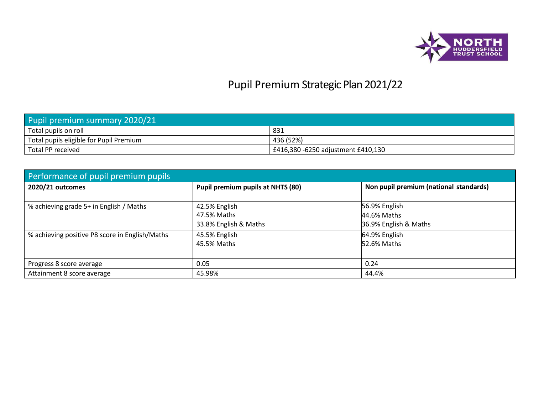

## Pupil Premium Strategic Plan 2021/22

| Pupil premium summary 2020/21           |                                    |  |  |  |  |
|-----------------------------------------|------------------------------------|--|--|--|--|
| Total pupils on roll                    | 831                                |  |  |  |  |
| Total pupils eligible for Pupil Premium | 436 (52%)                          |  |  |  |  |
| Total PP received                       | £416,380 -6250 adjustment £410,130 |  |  |  |  |

| Performance of pupil premium pupils            |                                   |                                        |  |  |  |  |
|------------------------------------------------|-----------------------------------|----------------------------------------|--|--|--|--|
| 2020/21 outcomes                               | Pupil premium pupils at NHTS (80) | Non pupil premium (national standards) |  |  |  |  |
|                                                |                                   |                                        |  |  |  |  |
| % achieving grade 5+ in English / Maths        | 42.5% English                     | 56.9% English                          |  |  |  |  |
|                                                | 47.5% Maths                       | 44.6% Maths                            |  |  |  |  |
|                                                | 33.8% English & Maths             | 36.9% English & Maths                  |  |  |  |  |
| % achieving positive P8 score in English/Maths | 45.5% English                     | 64.9% English                          |  |  |  |  |
|                                                | 45.5% Maths                       | 52.6% Maths                            |  |  |  |  |
|                                                |                                   |                                        |  |  |  |  |
| Progress 8 score average                       | 0.05                              | 0.24                                   |  |  |  |  |
| Attainment 8 score average                     | 45.98%                            | 44.4%                                  |  |  |  |  |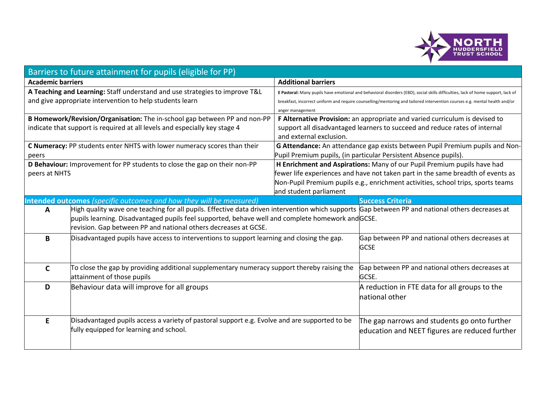

|                          | Barriers to future attainment for pupils (eligible for PP)                                                                                       |                            |                                                                                                                                  |  |  |  |
|--------------------------|--------------------------------------------------------------------------------------------------------------------------------------------------|----------------------------|----------------------------------------------------------------------------------------------------------------------------------|--|--|--|
| <b>Academic barriers</b> |                                                                                                                                                  | <b>Additional barriers</b> |                                                                                                                                  |  |  |  |
|                          | A Teaching and Learning: Staff understand and use strategies to improve T&L                                                                      |                            | E Pastoral: Many pupils have emotional and behavioral disorders (EBD), social skills difficulties, lack of home support, lack of |  |  |  |
|                          | and give appropriate intervention to help students learn                                                                                         |                            | breakfast, incorrect uniform and require counselling/mentoring and tailored intervention courses e.g. mental health and/or       |  |  |  |
|                          |                                                                                                                                                  | anger management           |                                                                                                                                  |  |  |  |
|                          | B Homework/Revision/Organisation: The in-school gap between PP and non-PP                                                                        |                            | F Alternative Provision: an appropriate and varied curriculum is devised to                                                      |  |  |  |
|                          | indicate that support is required at all levels and especially key stage 4                                                                       |                            | support all disadvantaged learners to succeed and reduce rates of internal                                                       |  |  |  |
|                          |                                                                                                                                                  | and external exclusion.    |                                                                                                                                  |  |  |  |
|                          | C Numeracy: PP students enter NHTS with lower numeracy scores than their                                                                         |                            | G Attendance: An attendance gap exists between Pupil Premium pupils and Non-                                                     |  |  |  |
| peers                    |                                                                                                                                                  |                            | Pupil Premium pupils, (in particular Persistent Absence pupils).                                                                 |  |  |  |
|                          | D Behaviour: Improvement for PP students to close the gap on their non-PP                                                                        |                            | H Enrichment and Aspirations: Many of our Pupil Premium pupils have had                                                          |  |  |  |
| peers at NHTS            |                                                                                                                                                  |                            | fewer life experiences and have not taken part in the same breadth of events as                                                  |  |  |  |
|                          |                                                                                                                                                  |                            | Non-Pupil Premium pupils e.g., enrichment activities, school trips, sports teams                                                 |  |  |  |
|                          |                                                                                                                                                  | and student parliament     |                                                                                                                                  |  |  |  |
|                          | <b>Intended outcomes</b> (specific outcomes and how they will be measured)                                                                       |                            | <b>Success Criteria</b>                                                                                                          |  |  |  |
| A                        | High quality wave one teaching for all pupils. Effective data driven intervention which supports Gap between PP and national others decreases at |                            |                                                                                                                                  |  |  |  |
|                          | pupils learning. Disadvantaged pupils feel supported, behave well and complete homework and GCSE.                                                |                            |                                                                                                                                  |  |  |  |
|                          | revision. Gap between PP and national others decreases at GCSE.                                                                                  |                            |                                                                                                                                  |  |  |  |
| B                        | Disadvantaged pupils have access to interventions to support learning and closing the gap.                                                       |                            | Gap between PP and national others decreases at                                                                                  |  |  |  |
|                          |                                                                                                                                                  |                            | <b>GCSE</b>                                                                                                                      |  |  |  |
|                          |                                                                                                                                                  |                            |                                                                                                                                  |  |  |  |
| $\mathsf{C}$             | To close the gap by providing additional supplementary numeracy support thereby raising the                                                      |                            | Gap between PP and national others decreases at                                                                                  |  |  |  |
|                          | attainment of those pupils                                                                                                                       |                            | GCSE.                                                                                                                            |  |  |  |
| D                        | Behaviour data will improve for all groups                                                                                                       |                            | A reduction in FTE data for all groups to the                                                                                    |  |  |  |
|                          |                                                                                                                                                  |                            | national other                                                                                                                   |  |  |  |
|                          |                                                                                                                                                  |                            |                                                                                                                                  |  |  |  |
|                          |                                                                                                                                                  |                            |                                                                                                                                  |  |  |  |
| E                        | Disadvantaged pupils access a variety of pastoral support e.g. Evolve and are supported to be                                                    |                            | The gap narrows and students go onto further                                                                                     |  |  |  |
|                          | fully equipped for learning and school.                                                                                                          |                            | education and NEET figures are reduced further                                                                                   |  |  |  |
|                          |                                                                                                                                                  |                            |                                                                                                                                  |  |  |  |
|                          |                                                                                                                                                  |                            |                                                                                                                                  |  |  |  |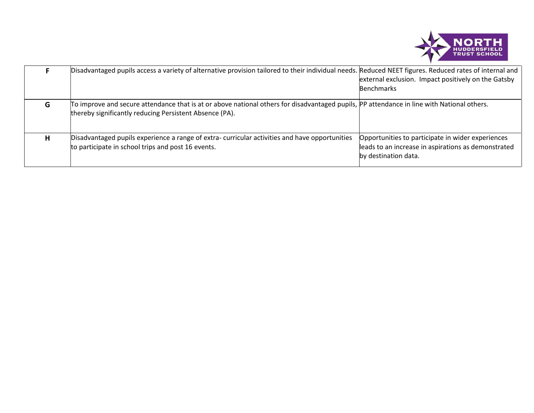

|   | Disadvantaged pupils access a variety of alternative provision tailored to their individual needs. Reduced NEET figures. Reduced rates of internal and                                                | external exclusion. Impact positively on the Gatsby<br><b>Benchmarks</b>                                                         |
|---|-------------------------------------------------------------------------------------------------------------------------------------------------------------------------------------------------------|----------------------------------------------------------------------------------------------------------------------------------|
| G | To improve and secure attendance that is at or above national others for disadvantaged pupils, PP attendance in line with National others.<br>thereby significantly reducing Persistent Absence (PA). |                                                                                                                                  |
| н | Disadvantaged pupils experience a range of extra-curricular activities and have opportunities<br>to participate in school trips and post 16 events.                                                   | Opportunities to participate in wider experiences<br>leads to an increase in aspirations as demonstrated<br>by destination data. |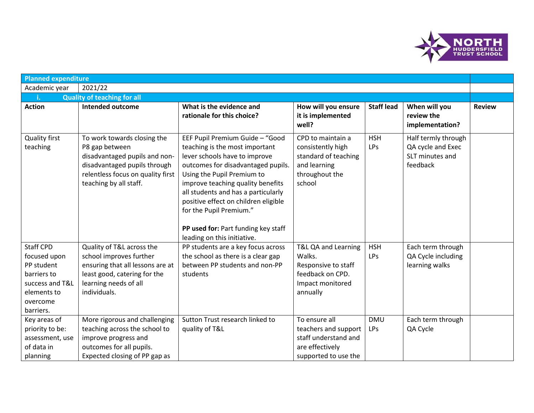

| <b>Planned expenditure</b>                                                                                                               |                                                                                                                                                                                                    |                                                                                                                                                                                                                                                                                                                                                                                             |                                                                                                                           |                                 |                                                                                |               |
|------------------------------------------------------------------------------------------------------------------------------------------|----------------------------------------------------------------------------------------------------------------------------------------------------------------------------------------------------|---------------------------------------------------------------------------------------------------------------------------------------------------------------------------------------------------------------------------------------------------------------------------------------------------------------------------------------------------------------------------------------------|---------------------------------------------------------------------------------------------------------------------------|---------------------------------|--------------------------------------------------------------------------------|---------------|
| Academic year                                                                                                                            | 2021/22                                                                                                                                                                                            |                                                                                                                                                                                                                                                                                                                                                                                             |                                                                                                                           |                                 |                                                                                |               |
|                                                                                                                                          | <b>Quality of teaching for all</b>                                                                                                                                                                 |                                                                                                                                                                                                                                                                                                                                                                                             |                                                                                                                           |                                 |                                                                                |               |
| <b>Action</b>                                                                                                                            | <b>Intended outcome</b>                                                                                                                                                                            | What is the evidence and<br>rationale for this choice?                                                                                                                                                                                                                                                                                                                                      | How will you ensure<br>it is implemented<br>well?                                                                         | <b>Staff lead</b>               | When will you<br>review the<br>implementation?                                 | <b>Review</b> |
| Quality first<br>teaching                                                                                                                | To work towards closing the<br>P8 gap between<br>disadvantaged pupils and non-<br>disadvantaged pupils through<br>relentless focus on quality first<br>teaching by all staff.                      | EEF Pupil Premium Guide - "Good<br>teaching is the most important<br>lever schools have to improve<br>outcomes for disadvantaged pupils.<br>Using the Pupil Premium to<br>improve teaching quality benefits<br>all students and has a particularly<br>positive effect on children eligible<br>for the Pupil Premium."<br>PP used for: Part funding key staff<br>leading on this initiative. | CPD to maintain a<br>consistently high<br>standard of teaching<br>and learning<br>throughout the<br>school                | <b>HSH</b><br>LPs               | Half termly through<br>QA cycle and Exec<br>SLT minutes and<br>feedback        |               |
| <b>Staff CPD</b><br>focused upon<br>PP student<br>barriers to<br>success and T&L<br>elements to<br>overcome<br>barriers.<br>Key areas of | Quality of T&L across the<br>school improves further<br>ensuring that all lessons are at<br>least good, catering for the<br>learning needs of all<br>individuals.<br>More rigorous and challenging | PP students are a key focus across<br>the school as there is a clear gap<br>between PP students and non-PP<br>students<br>Sutton Trust research linked to                                                                                                                                                                                                                                   | T&L QA and Learning<br>Walks.<br>Responsive to staff<br>feedback on CPD.<br>Impact monitored<br>annually<br>To ensure all | <b>HSH</b><br>LPs<br><b>DMU</b> | Each term through<br>QA Cycle including<br>learning walks<br>Each term through |               |
| priority to be:<br>assessment, use<br>of data in<br>planning                                                                             | teaching across the school to<br>improve progress and<br>outcomes for all pupils.<br>Expected closing of PP gap as                                                                                 | quality of T&L                                                                                                                                                                                                                                                                                                                                                                              | teachers and support<br>staff understand and<br>are effectively<br>supported to use the                                   | LPs                             | QA Cycle                                                                       |               |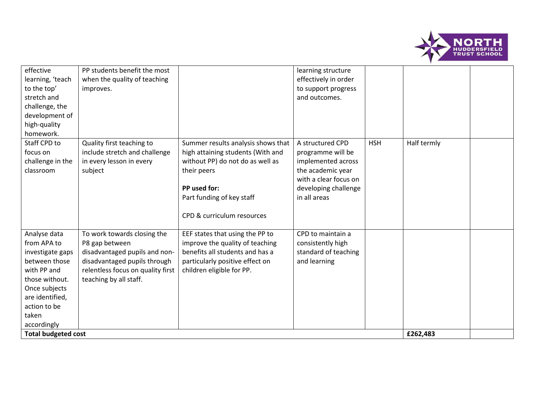

| effective<br>learning, 'teach<br>to the top'<br>stretch and<br>challenge, the<br>development of<br>high-quality                                                               | PP students benefit the most<br>when the quality of teaching<br>improves.                                                                                                     |                                                                                                                                                                                                       | learning structure<br>effectively in order<br>to support progress<br>and outcomes.                                                                |            |             |  |
|-------------------------------------------------------------------------------------------------------------------------------------------------------------------------------|-------------------------------------------------------------------------------------------------------------------------------------------------------------------------------|-------------------------------------------------------------------------------------------------------------------------------------------------------------------------------------------------------|---------------------------------------------------------------------------------------------------------------------------------------------------|------------|-------------|--|
| homework.<br>Staff CPD to<br>focus on<br>challenge in the<br>classroom                                                                                                        | Quality first teaching to<br>include stretch and challenge<br>in every lesson in every<br>subject                                                                             | Summer results analysis shows that<br>high attaining students (With and<br>without PP) do not do as well as<br>their peers<br>PP used for:<br>Part funding of key staff<br>CPD & curriculum resources | A structured CPD<br>programme will be<br>implemented across<br>the academic year<br>with a clear focus on<br>developing challenge<br>in all areas | <b>HSH</b> | Half termly |  |
| Analyse data<br>from APA to<br>investigate gaps<br>between those<br>with PP and<br>those without.<br>Once subjects<br>are identified,<br>action to be<br>taken<br>accordingly | To work towards closing the<br>P8 gap between<br>disadvantaged pupils and non-<br>disadvantaged pupils through<br>relentless focus on quality first<br>teaching by all staff. | EEF states that using the PP to<br>improve the quality of teaching<br>benefits all students and has a<br>particularly positive effect on<br>children eligible for PP.                                 | CPD to maintain a<br>consistently high<br>standard of teaching<br>and learning                                                                    |            |             |  |
| <b>Total budgeted cost</b>                                                                                                                                                    |                                                                                                                                                                               |                                                                                                                                                                                                       |                                                                                                                                                   |            | £262,483    |  |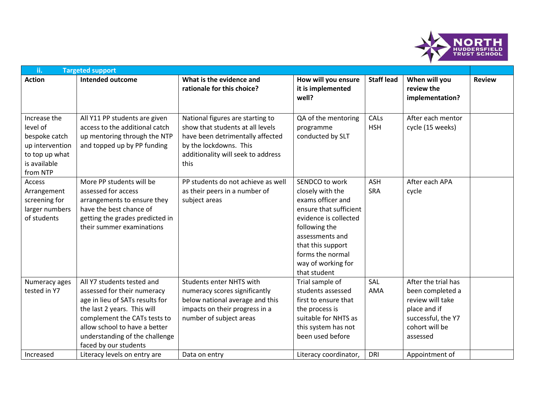

| ii.<br><b>Targeted support</b>                                                                             |                                                                                                                                                                                                                                                         |                                                                                                                                                                                  |                                                                                                                                                                                                                               |                          |                                                                                                                                 |               |
|------------------------------------------------------------------------------------------------------------|---------------------------------------------------------------------------------------------------------------------------------------------------------------------------------------------------------------------------------------------------------|----------------------------------------------------------------------------------------------------------------------------------------------------------------------------------|-------------------------------------------------------------------------------------------------------------------------------------------------------------------------------------------------------------------------------|--------------------------|---------------------------------------------------------------------------------------------------------------------------------|---------------|
| <b>Action</b>                                                                                              | <b>Intended outcome</b>                                                                                                                                                                                                                                 | What is the evidence and<br>rationale for this choice?                                                                                                                           | How will you ensure<br>it is implemented<br>well?                                                                                                                                                                             | <b>Staff lead</b>        | When will you<br>review the<br>implementation?                                                                                  | <b>Review</b> |
| Increase the<br>level of<br>bespoke catch<br>up intervention<br>to top up what<br>is available<br>from NTP | All Y11 PP students are given<br>access to the additional catch<br>up mentoring through the NTP<br>and topped up by PP funding                                                                                                                          | National figures are starting to<br>show that students at all levels<br>have been detrimentally affected<br>by the lockdowns. This<br>additionality will seek to address<br>this | QA of the mentoring<br>programme<br>conducted by SLT                                                                                                                                                                          | CALs<br><b>HSH</b>       | After each mentor<br>cycle (15 weeks)                                                                                           |               |
| Access<br>Arrangement<br>screening for<br>larger numbers<br>of students                                    | More PP students will be<br>assessed for access<br>arrangements to ensure they<br>have the best chance of<br>getting the grades predicted in<br>their summer examinations                                                                               | PP students do not achieve as well<br>as their peers in a number of<br>subject areas                                                                                             | SENDCO to work<br>closely with the<br>exams officer and<br>ensure that sufficient<br>evidence is collected<br>following the<br>assessments and<br>that this support<br>forms the normal<br>way of working for<br>that student | <b>ASH</b><br><b>SRA</b> | After each APA<br>cycle                                                                                                         |               |
| Numeracy ages<br>tested in Y7                                                                              | All Y7 students tested and<br>assessed for their numeracy<br>age in lieu of SATs results for<br>the last 2 years. This will<br>complement the CATs tests to<br>allow school to have a better<br>understanding of the challenge<br>faced by our students | Students enter NHTS with<br>numeracy scores significantly<br>below national average and this<br>impacts on their progress in a<br>number of subject areas                        | Trial sample of<br>students assessed<br>first to ensure that<br>the process is<br>suitable for NHTS as<br>this system has not<br>been used before                                                                             | SAL<br>AMA               | After the trial has<br>been completed a<br>review will take<br>place and if<br>successful, the Y7<br>cohort will be<br>assessed |               |
| Increased                                                                                                  | Literacy levels on entry are                                                                                                                                                                                                                            | Data on entry                                                                                                                                                                    | Literacy coordinator,                                                                                                                                                                                                         | <b>DRI</b>               | Appointment of                                                                                                                  |               |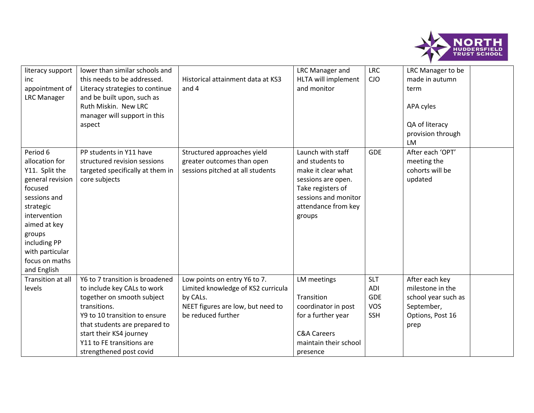

| literacy support<br>inc<br>appointment of<br><b>LRC Manager</b>                                                                                                                                                        | lower than similar schools and<br>this needs to be addressed.<br>Literacy strategies to continue<br>and be built upon, such as<br>Ruth Miskin. New LRC<br>manager will support in this<br>aspect                                                                  | Historical attainment data at KS3<br>and 4                                                                                                | <b>LRC Manager and</b><br>HLTA will implement<br>and monitor                                                                                                   | <b>LRC</b><br><b>CJO</b>                                           | LRC Manager to be<br>made in autumn<br>term<br>APA cyles<br>QA of literacy<br>provision through<br><b>LM</b> |  |
|------------------------------------------------------------------------------------------------------------------------------------------------------------------------------------------------------------------------|-------------------------------------------------------------------------------------------------------------------------------------------------------------------------------------------------------------------------------------------------------------------|-------------------------------------------------------------------------------------------------------------------------------------------|----------------------------------------------------------------------------------------------------------------------------------------------------------------|--------------------------------------------------------------------|--------------------------------------------------------------------------------------------------------------|--|
| Period 6<br>allocation for<br>Y11. Split the<br>general revision<br>focused<br>sessions and<br>strategic<br>intervention<br>aimed at key<br>groups<br>including PP<br>with particular<br>focus on maths<br>and English | PP students in Y11 have<br>structured revision sessions<br>targeted specifically at them in<br>core subjects                                                                                                                                                      | Structured approaches yield<br>greater outcomes than open<br>sessions pitched at all students                                             | Launch with staff<br>and students to<br>make it clear what<br>sessions are open.<br>Take registers of<br>sessions and monitor<br>attendance from key<br>groups | <b>GDE</b>                                                         | After each 'OPT'<br>meeting the<br>cohorts will be<br>updated                                                |  |
| Transition at all<br>levels                                                                                                                                                                                            | Y6 to 7 transition is broadened<br>to include key CALs to work<br>together on smooth subject<br>transitions.<br>Y9 to 10 transition to ensure<br>that students are prepared to<br>start their KS4 journey<br>Y11 to FE transitions are<br>strengthened post covid | Low points on entry Y6 to 7.<br>Limited knowledge of KS2 curricula<br>by CALs.<br>NEET figures are low, but need to<br>be reduced further | LM meetings<br>Transition<br>coordinator in post<br>for a further year<br><b>C&amp;A Careers</b><br>maintain their school<br>presence                          | <b>SLT</b><br><b>ADI</b><br><b>GDE</b><br><b>VOS</b><br><b>SSH</b> | After each key<br>milestone in the<br>school year such as<br>September,<br>Options, Post 16<br>prep          |  |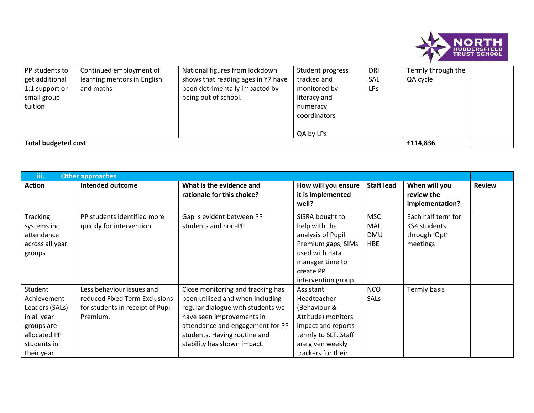

| PP students to             | Continued employment of     | National figures from lockdown     | Student progress | DRI        | Termly through the |  |
|----------------------------|-----------------------------|------------------------------------|------------------|------------|--------------------|--|
| get additional             | learning mentors in English | shows that reading ages in Y7 have | tracked and      | <b>SAL</b> | QA cycle           |  |
| 1:1 support or             | and maths                   | been detrimentally impacted by     | monitored by     | LPs        |                    |  |
| small group                |                             | being out of school.               | literacy and     |            |                    |  |
| tuition                    |                             |                                    | numeracy         |            |                    |  |
|                            |                             |                                    | coordinators     |            |                    |  |
|                            |                             |                                    |                  |            |                    |  |
|                            |                             |                                    | QA by LPs        |            |                    |  |
| <b>Total budgeted cost</b> |                             |                                    |                  |            | £114,836           |  |

| iii.                                                                                                               | <b>Other approaches</b>                                                                                    |                                                                                                                                                                                                                                            |                                                                                                                                                        |                                        |                                                                 |               |
|--------------------------------------------------------------------------------------------------------------------|------------------------------------------------------------------------------------------------------------|--------------------------------------------------------------------------------------------------------------------------------------------------------------------------------------------------------------------------------------------|--------------------------------------------------------------------------------------------------------------------------------------------------------|----------------------------------------|-----------------------------------------------------------------|---------------|
| <b>Action</b>                                                                                                      | Intended outcome                                                                                           | What is the evidence and<br>rationale for this choice?                                                                                                                                                                                     | How will you ensure<br>it is implemented<br>well?                                                                                                      | <b>Staff lead</b>                      | When will you<br>review the<br>implementation?                  | <b>Review</b> |
| <b>Tracking</b><br>systems inc<br>attendance<br>across all year<br>groups                                          | PP students identified more<br>quickly for intervention                                                    | Gap is evident between PP<br>students and non-PP                                                                                                                                                                                           | SISRA bought to<br>help with the<br>analysis of Pupil<br>Premium gaps, SIMs<br>used with data<br>manager time to<br>create PP<br>intervention group.   | <b>MSC</b><br>MAL<br><b>DMU</b><br>HBE | Each half term for<br>KS4 students<br>through 'Opt'<br>meetings |               |
| Student<br>Achievement<br>Leaders (SALs)<br>in all year<br>groups are<br>allocated PP<br>students in<br>their year | Less behaviour issues and<br>reduced Fixed Term Exclusions<br>for students in receipt of Pupil<br>Premium. | Close monitoring and tracking has<br>been utilised and when including<br>regular dialogue with students we<br>have seen improvements in<br>attendance and engagement for PP<br>students. Having routine and<br>stability has shown impact. | Assistant<br>Headteacher<br>(Behaviour &<br>Attitude) monitors<br>impact and reports<br>termly to SLT. Staff<br>are given weekly<br>trackers for their | <b>NCO</b><br><b>SALS</b>              | Termly basis                                                    |               |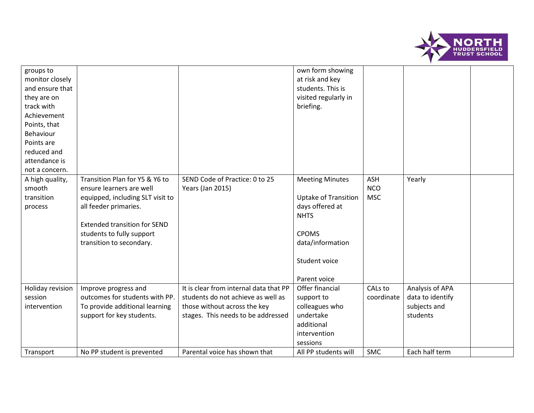

| monitor closely<br>and ensure that<br>they are on<br>track with<br>Achievement<br>Points, that<br>Behaviour<br>Points are<br>reduced and<br>attendance is<br>not a concern. |                                                                                                                                                                                                                         |                                                                                                                                                                                     | at risk and key<br>students. This is<br>visited regularly in<br>briefing.                                                                                    |                                        |                                                                                   |  |
|-----------------------------------------------------------------------------------------------------------------------------------------------------------------------------|-------------------------------------------------------------------------------------------------------------------------------------------------------------------------------------------------------------------------|-------------------------------------------------------------------------------------------------------------------------------------------------------------------------------------|--------------------------------------------------------------------------------------------------------------------------------------------------------------|----------------------------------------|-----------------------------------------------------------------------------------|--|
| A high quality,<br>smooth<br>transition<br>process                                                                                                                          | Transition Plan for Y5 & Y6 to<br>ensure learners are well<br>equipped, including SLT visit to<br>all feeder primaries.<br><b>Extended transition for SEND</b><br>students to fully support<br>transition to secondary. | SEND Code of Practice: 0 to 25<br>Years (Jan 2015)                                                                                                                                  | <b>Meeting Minutes</b><br><b>Uptake of Transition</b><br>days offered at<br><b>NHTS</b><br><b>CPOMS</b><br>data/information<br>Student voice<br>Parent voice | <b>ASH</b><br><b>NCO</b><br><b>MSC</b> | Yearly                                                                            |  |
| Holiday revision<br>session<br>intervention<br>Transport                                                                                                                    | Improve progress and<br>outcomes for students with PP.<br>To provide additional learning<br>support for key students.<br>No PP student is prevented                                                                     | It is clear from internal data that PP<br>students do not achieve as well as<br>those without across the key<br>stages. This needs to be addressed<br>Parental voice has shown that | Offer financial<br>support to<br>colleagues who<br>undertake<br>additional<br>intervention<br>sessions<br>All PP students will                               | CALs to<br>coordinate<br><b>SMC</b>    | Analysis of APA<br>data to identify<br>subjects and<br>students<br>Each half term |  |